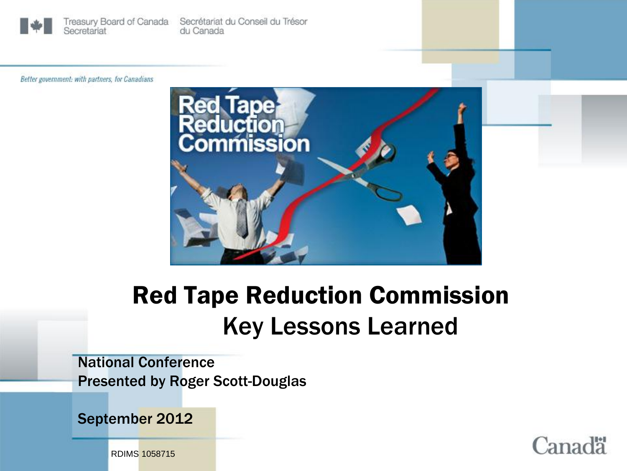

Treasury Board of Canada Secrétariat du Conseil du Trésor Secretariat du Canada

Better government: with partners, for Canadians



# Red Tape Reduction Commission Key Lessons Learned

National Conference Presented by Roger Scott-Douglas

September 2012



RDIMS 1058715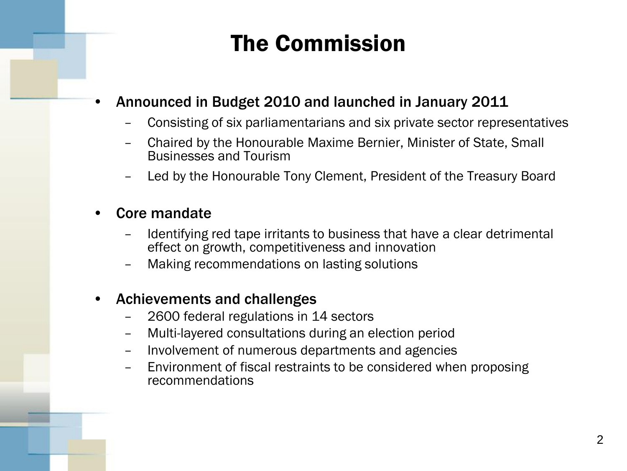# The Commission

## • Announced in Budget 2010 and launched in January 2011

- Consisting of six parliamentarians and six private sector representatives
- Chaired by the Honourable Maxime Bernier, Minister of State, Small Businesses and Tourism
- Led by the Honourable Tony Clement, President of the Treasury Board

#### • Core mandate

- Identifying red tape irritants to business that have a clear detrimental effect on growth, competitiveness and innovation
- Making recommendations on lasting solutions

### • Achievements and challenges

- 2600 federal regulations in 14 sectors
- Multi-layered consultations during an election period
- Involvement of numerous departments and agencies
- Environment of fiscal restraints to be considered when proposing recommendations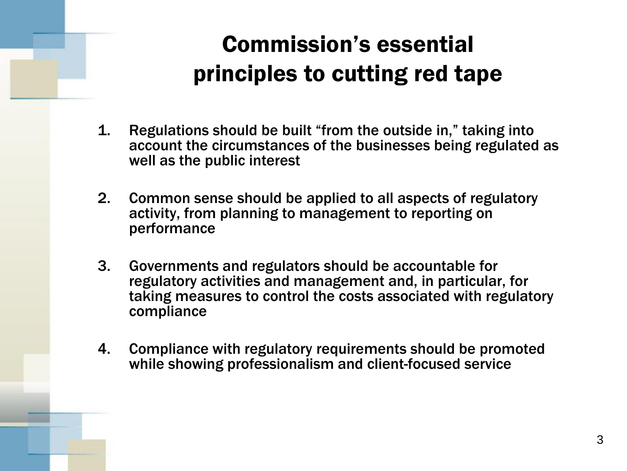# Commission's essential principles to cutting red tape

- 1. Regulations should be built "from the outside in," taking into account the circumstances of the businesses being regulated as well as the public interest
- 2. Common sense should be applied to all aspects of regulatory activity, from planning to management to reporting on performance
- 3. Governments and regulators should be accountable for regulatory activities and management and, in particular, for taking measures to control the costs associated with regulatory compliance
- 4. Compliance with regulatory requirements should be promoted while showing professionalism and client-focused service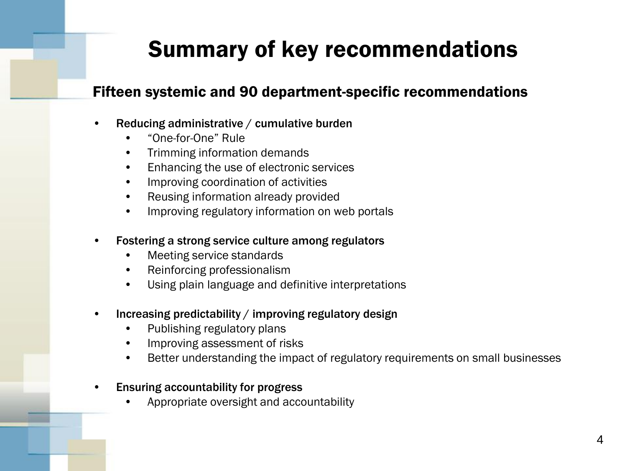# Summary of key recommendations

### Fifteen systemic and 90 department-specific recommendations

- Reducing administrative / cumulative burden
	- "One-for-One" Rule
	- Trimming information demands
	- Enhancing the use of electronic services
	- Improving coordination of activities
	- Reusing information already provided
	- Improving regulatory information on web portals
- Fostering a strong service culture among regulators
	- Meeting service standards
	- Reinforcing professionalism
	- Using plain language and definitive interpretations
- Increasing predictability / improving regulatory design
	- Publishing regulatory plans
	- Improving assessment of risks
	- Better understanding the impact of regulatory requirements on small businesses
- Ensuring accountability for progress
	- Appropriate oversight and accountability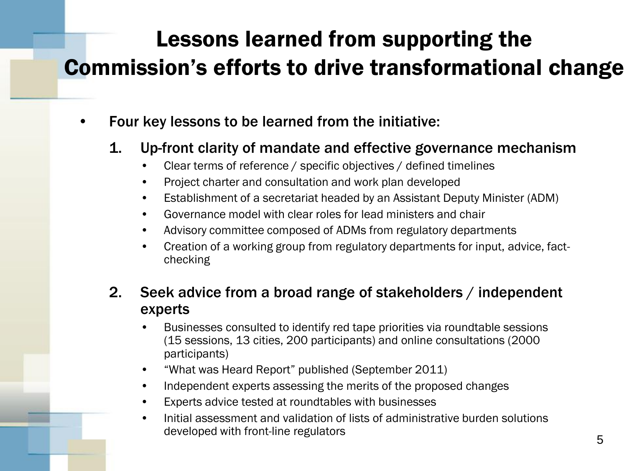# Lessons learned from supporting the Commission's efforts to drive transformational change

- Four key lessons to be learned from the initiative:
	- 1. Up-front clarity of mandate and effective governance mechanism
		- Clear terms of reference / specific objectives / defined timelines
		- Project charter and consultation and work plan developed
		- Establishment of a secretariat headed by an Assistant Deputy Minister (ADM)
		- Governance model with clear roles for lead ministers and chair
		- Advisory committee composed of ADMs from regulatory departments
		- Creation of a working group from regulatory departments for input, advice, factchecking

### 2. Seek advice from a broad range of stakeholders / independent experts

- Businesses consulted to identify red tape priorities via roundtable sessions (15 sessions, 13 cities, 200 participants) and online consultations (2000 participants)
- "What was Heard Report" published (September 2011)
- Independent experts assessing the merits of the proposed changes
- Experts advice tested at roundtables with businesses
- Initial assessment and validation of lists of administrative burden solutions developed with front-line regulators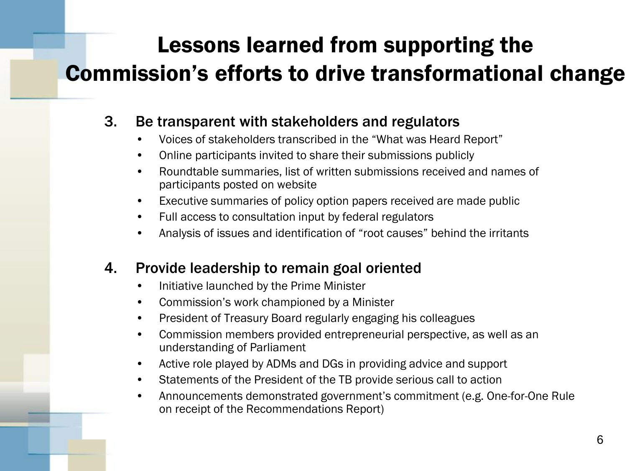# Lessons learned from supporting the Commission's efforts to drive transformational change

## 3. Be transparent with stakeholders and regulators

- Voices of stakeholders transcribed in the "What was Heard Report"
- Online participants invited to share their submissions publicly
- Roundtable summaries, list of written submissions received and names of participants posted on website
- Executive summaries of policy option papers received are made public
- Full access to consultation input by federal regulators
- Analysis of issues and identification of "root causes" behind the irritants

### 4. Provide leadership to remain goal oriented

- Initiative launched by the Prime Minister
- Commission's work championed by a Minister
- President of Treasury Board regularly engaging his colleagues
- Commission members provided entrepreneurial perspective, as well as an understanding of Parliament
- Active role played by ADMs and DGs in providing advice and support
- Statements of the President of the TB provide serious call to action
- Announcements demonstrated government's commitment (e.g. One-for-One Rule on receipt of the Recommendations Report)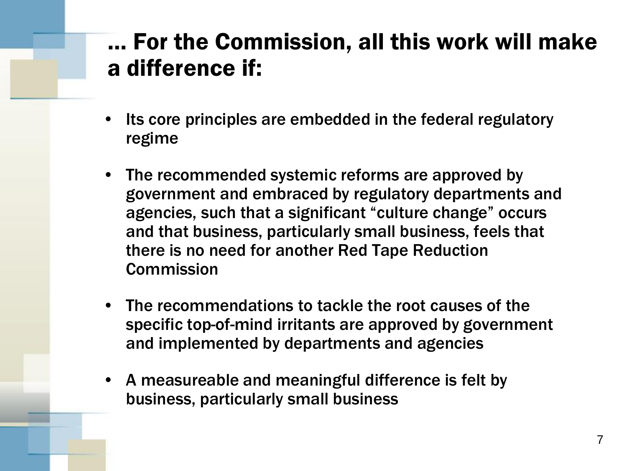## … For the Commission, all this work will make a difference if:

- Its core principles are embedded in the federal regulatory regime
- The recommended systemic reforms are approved by government and embraced by regulatory departments and agencies, such that a significant "culture change" occurs and that business, particularly small business, feels that there is no need for another Red Tape Reduction **Commission**
- The recommendations to tackle the root causes of the specific top-of-mind irritants are approved by government and implemented by departments and agencies
- A measureable and meaningful difference is felt by business, particularly small business